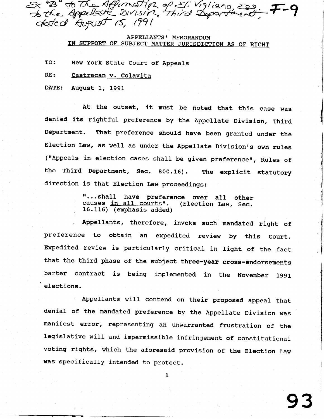$\mathcal{E}\times$  " $\mathcal{B}$ " to the Affirmation of.  $\mathcal{F}_k$  "B" to The Affirmation of Eli Vigliano, Ess.  $\mathcal{F}$ - $\mathsf{G}$ 6 the Appellate DIVISIT<br>Aatcol August 15, 1991

## APPELLANTS ' MEMORANDUM IN SUPPORT OF SUBJECT MATTER JURISDICTION AS OF RIGHT

TO: New York State Court of Appeals

## RE: Castracan v. Colavita

DATE: August 1, 1991

At the outset, it must be noted that this ease was denied its rightful preference by the Appellate Division, Third Department. That preference should have been granted under the Election Law, as well as under the Appellate Division's own rules ("Appeals in election cases shall be given preference", Rules of the Third Department, Sec. 800.16). The explicit statutory direction is that Election Law proceedings:

I

9 3

"...shall have preference over all other<br>causes <u>in all courts</u>". (Election Law, Sec. causes in all courts". 16.116) (emphasis added)

Appellants, therefore, invoke such mandated right of preference to obtain an expedited review by this court. Expedited review is particularly critical in light of the fact that the third phase of the subject three-year cross-endorsements barter contract is being implemented in the November 1991 elections.

Appellants will contend on their proposed appeal that denial of the mandated preference by the Appel1ate Division was manifest error, representing an unwarranted frustration of the legislative will and impermissible infringement of constitutional voting rights, which the aforesaid provision of the Election Law was specifically intended to protect,

 $\mathbf{1}$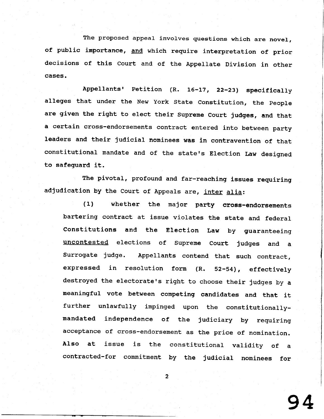The proposed appeal involves questions which are novel of public importance, and which require interpretation of prio decisions of this Court and of the Appellate Division in other cases.

Appellants' Petition (R. 16-17, 22-23) specifically alleges that under the New York State Constitution, the people are given the right to elect their supreme court judges, and that a certain cross-endorsements contract entered into between party leaders and their judicial noninees was in eontravention of that constitutional mandate and of the state's Election Law designed to safeguard it.

The pivotal, profound and far-reaching issues reguiring adjudication by the Court of Appeals are, inter alia:

(1) whether the major party cross-endorsements bartering contract at issue violates the state and federal constitutions and the Election Law by guaranteeing uncontested elections of supreme court judges and a Surrogate judge. Appellants contend that such contract, expressed in resolution form  $(R. 52-54)$ , effectively destroyed the electorate's right to choose their judges by a meaningful vote between competing candidates and that it further unlawfully impinged upon the constitutionallymandated independence of the judiciary by requiring acceptance of cross-endorsement as the price of nomination. Also at issue is the constitutional validity of a contracted-for commitment by the judicial nominees for

9 4

 $\overline{2}$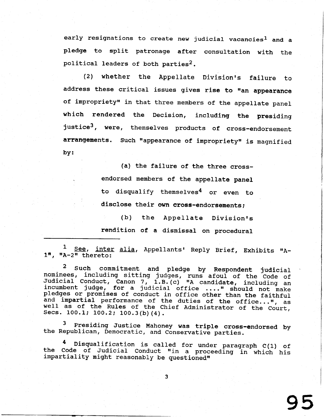early resignations to create new judicial vacancies<sup>1</sup> and a pledge to split patronage after consultation with the political leaders of both parties<sup>2</sup>.

(2) whether the Appellate Division's failure to address these critical issues gives rise to "an appearance of impropriety" in that three members of the appellate panel which rendered the Decision, including the presiding justice<sup>3</sup>, were, themselves products of cross-endorsement arrangements. Such "appearance of impropriety" is magnified by:

> (a) the failure of the three crossendorsed members of the appellate panel to disqualify themselves<sup>4</sup> or even to disclose their own cross-endorsements; (b) the Appellate Division's rendition of a dismissal on procedural

1 <u>See, inter alia</u>, Appellants' Reply Brief, Exhibits "A- $1<sup>n</sup>$ ,  $<sup>n</sup>A-2<sup>n</sup>$  thereto:</sup>

 $^2$  Such commitment and pledge by Respondent judici nominees, including sitting judges, runs afoul of the Code of<br>Judicial Conduct, Canon 7, 1.B. (c) "A candidate, including an<br>incumbent judge, for a judicial office ...." should not make<br>pledges or promises of conduct in of and impartial performance of the duties of the office...", well as of the Rules of the Chief Administrator of the Court,<br>Secs. 100.1; 100.2; 100.3(b) (4).

<sup>3</sup> Presiding Justice Mahoney was triple cross-endorsed by the Republican, Democratic, and Conservative parties.

4 Disqualification is called for under paragraph C(1) of the Code of Judicial Conduct "in a proceeding in which his impartiality might reasonably be questioned"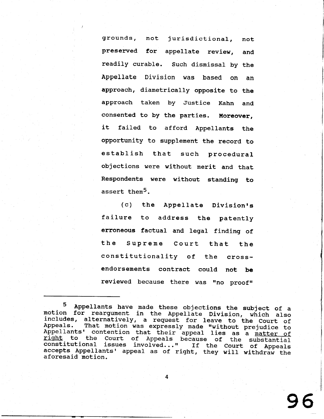grounds, not jurisdictional, not preserved for appellate review, and readily curable. Such dismissal by the Appellate Division was based on an approach, diametrically opposite to the approach taken by Justice Kahn and consented to by the parties. Moreover, it failed to afford Appellants the opportunity to supplement the record to establish that such procedural objections were without merit and that Respondents were without standing to assert them<sup>5</sup>.

(c) the Appellate Division's failure to address the patently erroneous factual and legal finding of the Supreme Court that the constitutionality of the crossendorsements contract could not be reviewed because there was "no proof"

<sup>5</sup> Appellants have made these objections the subject of a<br>motion for reargument in the Appellate Division, which also<br>includes, alternatively, a request for leave to the Court of<br>Appeals. That motion was expressly made "wit constitutional issues involved..." If the Court of Appeals<br>accepts Appellants' appeal as of right, they will withdraw the<br>aforesaid motion.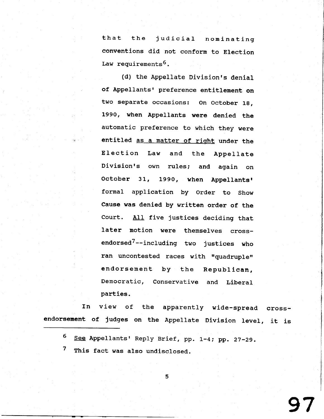that the judicial nominating eonventions did not conform to Election Law requirements<sup>6</sup>.

(d) the Appellate Division's denial of Appellants' preference entitlement on two separate occasions: On october 1g, 1990, when Appellants were denied the automatic preference to which they were entitled as a matter of right under the Election Law and the Appe1late Division's own rules; and again on October 31, 1990, when Appellants' formal application by Order to Show Cause was denied by written order of the Court. All five justices deciding that later motion were themselves crossendorsed<sup>7</sup>--including two justices who ran uncontested races with "quadruple" endorsement by the Republican, Democratic, Conservative and Liberal parties.

I n endorsement of judges on the Appellate Division level, it is view of the apparently wide-spread cross-

5

- 6 See Appellants' Reply Brief, pp. 1-4; pp. 27-29.
- 7 This fact was also undisclosed.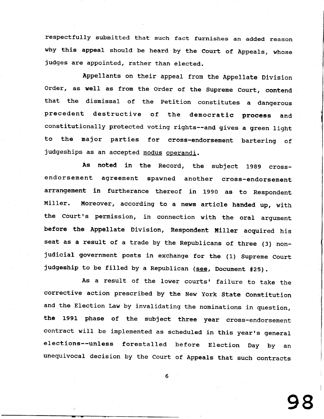respectfully submitted that such fact furnishes an added reaso why this appeal should be heard by the Court of Appeals, whose judges are appointed, rather than elected.

Appellants on their appeal from the Appellate Division Order, as well as from the Order of the Supreme Court, contend that the dismissal of the Petition constitutes a dangerous precedent destructive of the democratic process and constitutionally protected voting rights--and gives a green light to the major parties for cross-endorsement bartering of judgeships as an accepted modus operandi.

As noted in the Record, the subject 1999 crossendorsement agreement spawned another cross-endorsement arrangement in furtherance thereof in 1990 as to Respondent Miller. Moreover, according to a news article handed up, with the Court's permission, in connection with the oral argument before the Appellate Division, Respondent Miller acquired his seat as a result of a trade by the Republicans of three (3) nonjudicial government posts in exchange for the (1) suprene court judgeship to be filled by a Republican (see, Document #25).

As a result of the lower courts' failure to take the corrective action prescribed by the New york State Constitution and the Election Law by invalidating the nominations in question, the 1991 phase of the subJect three year cross-endorsement contract will be implemented as scheduled in this year's general elections--unless forestalled before Election Day by an unequivocal decision by the Court of Appeals that such contracts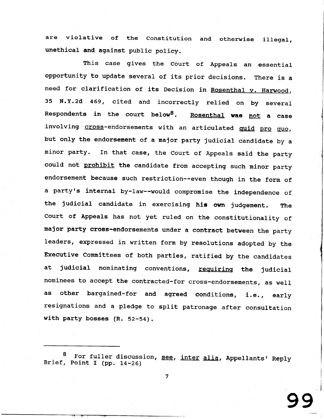are violative of the Constitution and otherwise illega unethical and against public policy.

This case gives the court of Appeals an essential opportunity to update several of its prior decisions. There is a need for clarification of its Decision in Rosenthal v. Harwood, 35 N.Y.2d 469, cited and incorrectly relied on by several Respondents in the court below<sup>8</sup>. Rosenthal was not a case involving cross-endorsements with an articulated quid pro quo, but only the endorsement of a major party judicial candidate by a minor party. In that case, the Court of Appeals said the party could not prohibit the candidate from accepting such minor party endorsement because such restriction--even though in the form of a party's internal by-law--would compromise the independence of the judicial candidate in exercising his own judgement. The Court of Appeals has not yet ruled on the constitutionality of major party cross-endorsements under a contract between the party leaders, expressed in written form by resolutions adopted by the Executive Connittees of both parties, ratified by the candidates at judicial nominating conventions, requiring the judicial nominees to accept the contracted-for cross-endorsements, as well as other bargained-for and agreed conditions, i.e., early resignations and a pledge to split patronage after consultation with party bosses (R. 52-54).

<sup>8</sup> For fuller discussion, <u>see, inter alia</u>, Appellants' Reply<br>, Point I (pp. 14–26) Brief, Point I (pp. 14-26)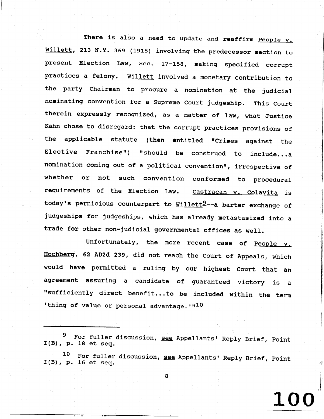There is also a need to update and reaffirm People v. Willett, 213 N.Y. 369 (1915) involving the predecessor section to present Election Law, Sec. 17-158, making specified corrupt practices a felony. Willett involved a monetary contribution to the party chairman to procure a nomination at the judicial nominating convention for a supreme court judgeship. This court therein expressly recognized, as a matter of law, what Justice Kahn chose to disregard: that the corrupt practices provisions of the applicable statute (then entitled "Crimes against the Elective Franchise") "should be construed to include...a nomination coming out of a political convention", irrespective of whether or not such convention conformed to procedural requirements of the Election Law. Castracan v. Colavita is today's pernicious counterpart to Willett<sup>9</sup>--a barter exchange of judgeships for judgeships, which has already metastasized into a trade for other non-judicial governmental offices as well.

Unfortunately, the more recent case of  $People$ .</u> Hochberg, 62 AD2d 239, did not reach the Court of Appeals, which would have permitted a ruling by our highest Court that an agreement assuring a candidate of guaranteed victory is a "sufficiently direct benefit...to be included within the term 'thing of value or personal advantage.  $10$ 

9  $I(B)$ , p. 18 et seq. For fuller discussion, see Appellants' Reply Brief, Point

1 0  $I(B)$ , p. 16 et seq. For fuller discussion, see Appellants' Reply Brief, Point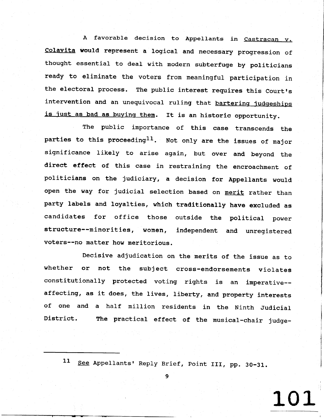A favorable decision to Appellants in Castracan v. colavita would represent a logical and necessary progression of thought essential to deal with modern subterfuge by politicians ready to eliminate the voters from meaningful participation in the electoral process. The public interest requires this Court's intervention and an unequivocal ruling that bartering judgeships is just as bad as buying them. It is an historic opportunity.

The public importance of this case transcends the parties to this proceeding<sup>11</sup>. Not only are the issues of major significance likely to arise again, but over and beyond the direct effect of this case in restraining the encroachment of politicians on the judiciary, a decision for Appellants would open the way for judicial selection based on merit rather than party labels and loyalties, which traditionally have excluded as candidates for office those outside the political power structure--minorities, women, independent and unregistered voters--no matter how meritorious.

Decisive adjudication on the merits of the issue as to whether or not the subject cross-endorsements violates constitutionally protected voting rights is an imperative-affecting, as it does, the lives, liberty, and property interests of one and a half million residents in the Ninth Judicial District. The practical effect of the musical-chair judge-

11 See Appellants' Reply Brief, Point III, pp. 30-31.

9

1\_01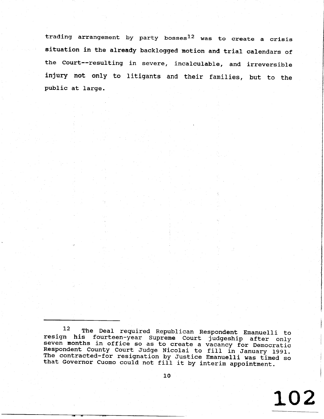trading arrangement by party bosses $^{12}$  was to create a cris: situation in the already backlogged motion and trial calendars of the Court--resulting in severe, incalculable, and irreversi injury not only to litigants and their families, but to the public at large.

12 The Deal required Republican Respondent Emanuelli to resign his fourteen-year Supreme Court judgeship after only seven months in office so as to create a vacancy for Democratic<br>Respondent County Court Judge Nicolai to fill in January 1991.<br>The contracted-for resignation by Justice Emanuelli was timed so<br>that Governor Cuomo could not

LO2